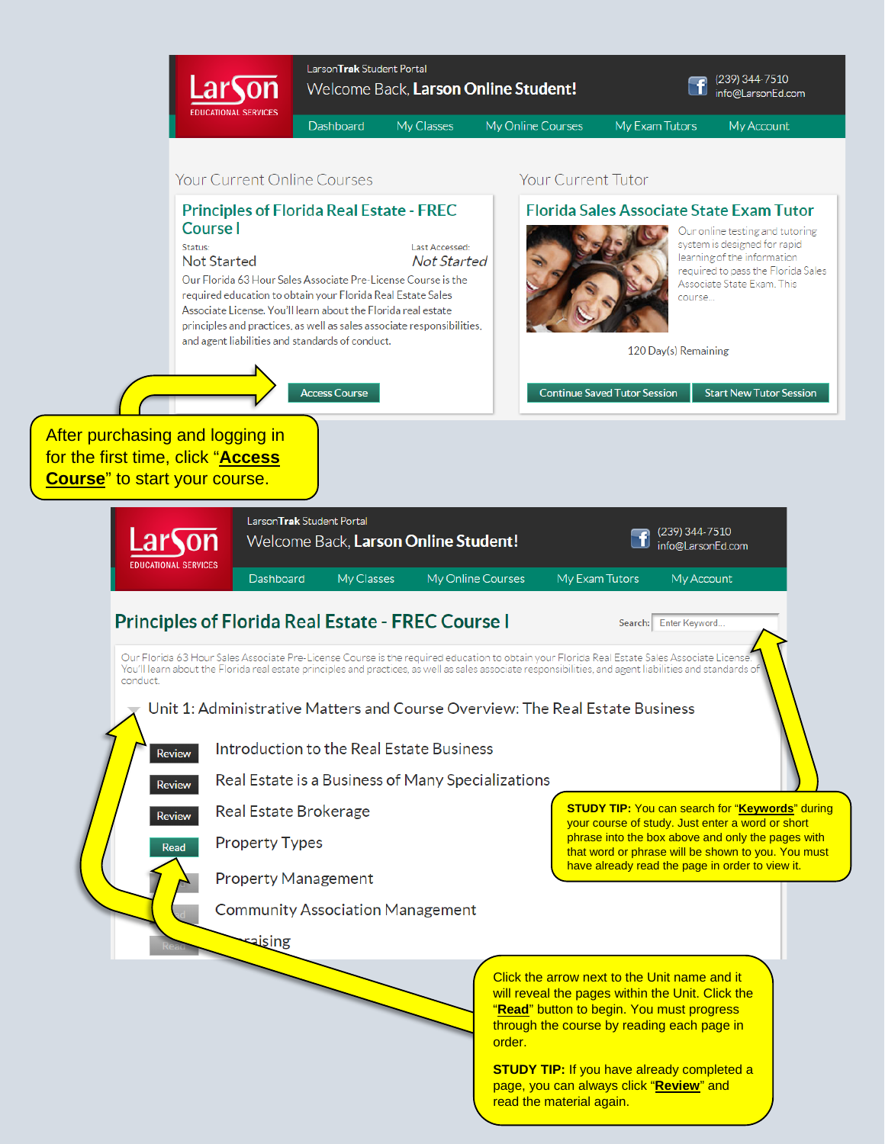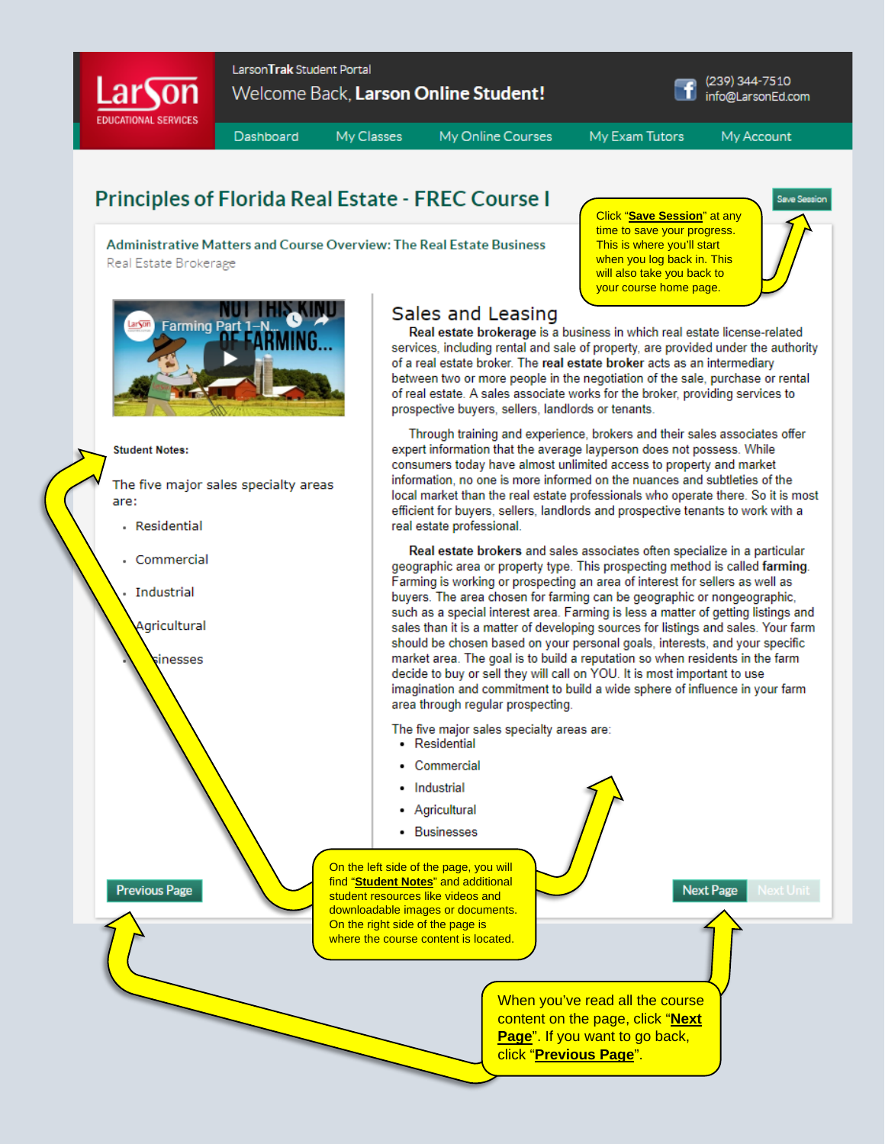

## **Principles of Florida Real Estate - FREC Course I**

Administrative Matters and Course Overview: The Real Estate Business Real Estate Brokerage





The five major sales specialty areas are:

- · Residential
- Commercial

**Industrial** 

Agricultural

inesses

**Previous Page** 

## Sales and Leasing

Real estate brokerage is a business in which real estate license-related services, including rental and sale of property, are provided under the authority of a real estate broker. The real estate broker acts as an intermediary between two or more people in the negotiation of the sale, purchase or rental of real estate. A sales associate works for the broker, providing services to prospective buyers, sellers, landlords or tenants.

Click "Save Session" at any time to save your progress.

This is where you'll start when you log back in. This

will also take you back to your course home page.

Through training and experience, brokers and their sales associates offer expert information that the average layperson does not possess. While consumers today have almost unlimited access to property and market information, no one is more informed on the nuances and subtleties of the local market than the real estate professionals who operate there. So it is most efficient for buyers, sellers, landlords and prospective tenants to work with a real estate professional.

Real estate brokers and sales associates often specialize in a particular geographic area or property type. This prospecting method is called farming. Farming is working or prospecting an area of interest for sellers as well as buyers. The area chosen for farming can be geographic or nongeographic, such as a special interest area. Farming is less a matter of getting listings and sales than it is a matter of developing sources for listings and sales. Your farm should be chosen based on your personal goals, interests, and your specific market area. The goal is to build a reputation so when residents in the farm decide to buy or sell they will call on YOU. It is most important to use imagination and commitment to build a wide sphere of influence in your farm area through regular prospecting.

The five major sales specialty areas are:

- Residential
- Commercial
- Industrial
- Agricultural
- Businesses

On the left side of the page, you will find "Student Notes" and additional student resources like videos and downloadable images or documents. On the right side of the page is where the course content is located.

**Next Page** 

Save Se

When you've read all the course content on the page, click "Next Page". If you want to go back, click "Previous Page".